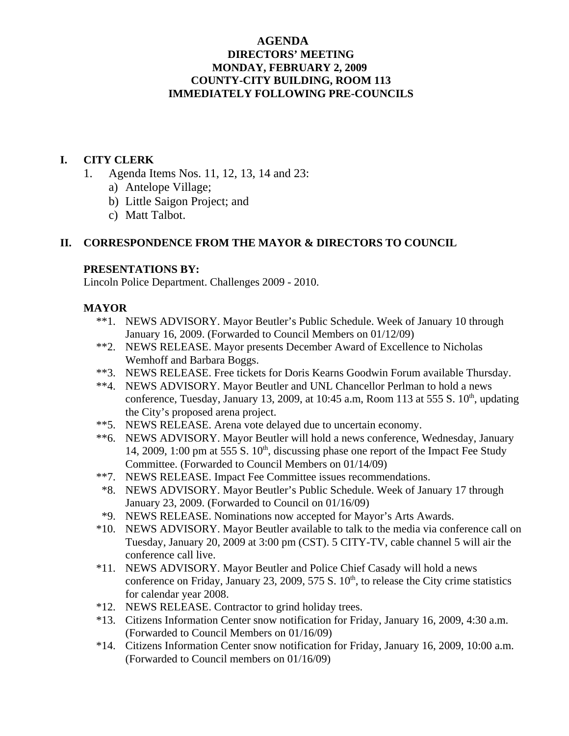## **AGENDA DIRECTORS' MEETING MONDAY, FEBRUARY 2, 2009 COUNTY-CITY BUILDING, ROOM 113 IMMEDIATELY FOLLOWING PRE-COUNCILS**

### **I. CITY CLERK**

- 1. Agenda Items Nos. 11, 12, 13, 14 and 23:
	- a) Antelope Village;
	- b) Little Saigon Project; and
	- c) Matt Talbot.

### **II. CORRESPONDENCE FROM THE MAYOR & DIRECTORS TO COUNCIL**

### **PRESENTATIONS BY:**

Lincoln Police Department. Challenges 2009 - 2010.

### **MAYOR**

- \*\*1. NEWS ADVISORY. Mayor Beutler's Public Schedule. Week of January 10 through January 16, 2009. (Forwarded to Council Members on 01/12/09)
- \*\*2. NEWS RELEASE. Mayor presents December Award of Excellence to Nicholas Wemhoff and Barbara Boggs.
- \*\*3. NEWS RELEASE. Free tickets for Doris Kearns Goodwin Forum available Thursday.
- \*\*4. NEWS ADVISORY. Mayor Beutler and UNL Chancellor Perlman to hold a news conference, Tuesday, January 13, 2009, at 10:45 a.m, Room 113 at 555 S.  $10<sup>th</sup>$ , updating the City's proposed arena project.
- \*\*5. NEWS RELEASE. Arena vote delayed due to uncertain economy.
- \*\*6. NEWS ADVISORY. Mayor Beutler will hold a news conference, Wednesday, January 14, 2009, 1:00 pm at 555 S.  $10<sup>th</sup>$ , discussing phase one report of the Impact Fee Study Committee. (Forwarded to Council Members on 01/14/09)
- \*\*7. NEWS RELEASE. Impact Fee Committee issues recommendations.
- \*8. NEWS ADVISORY. Mayor Beutler's Public Schedule. Week of January 17 through January 23, 2009. (Forwarded to Council on 01/16/09)
- \*9. NEWS RELEASE. Nominations now accepted for Mayor's Arts Awards.
- \*10. NEWS ADVISORY. Mayor Beutler available to talk to the media via conference call on Tuesday, January 20, 2009 at 3:00 pm (CST). 5 CITY-TV, cable channel 5 will air the conference call live.
- \*11. NEWS ADVISORY. Mayor Beutler and Police Chief Casady will hold a news conference on Friday, January 23, 2009, 575 S.  $10<sup>th</sup>$ , to release the City crime statistics for calendar year 2008.
- \*12. NEWS RELEASE. Contractor to grind holiday trees.
- \*13. Citizens Information Center snow notification for Friday, January 16, 2009, 4:30 a.m. (Forwarded to Council Members on 01/16/09)
- \*14. Citizens Information Center snow notification for Friday, January 16, 2009, 10:00 a.m. (Forwarded to Council members on 01/16/09)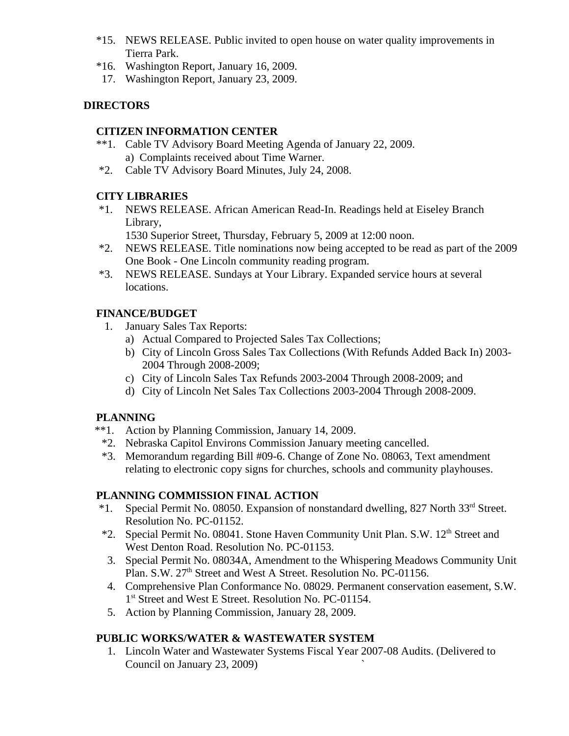- \*15. NEWS RELEASE. Public invited to open house on water quality improvements in Tierra Park.
- \*16. Washington Report, January 16, 2009.
- 17. Washington Report, January 23, 2009.

# **DIRECTORS**

### **CITIZEN INFORMATION CENTER**

- \*\*1. Cable TV Advisory Board Meeting Agenda of January 22, 2009. a) Complaints received about Time Warner.
- \*2. Cable TV Advisory Board Minutes, July 24, 2008.

# **CITY LIBRARIES**

 \*1. NEWS RELEASE. African American Read-In. Readings held at Eiseley Branch Library,

1530 Superior Street, Thursday, February 5, 2009 at 12:00 noon.

- \*2. NEWS RELEASE. Title nominations now being accepted to be read as part of the 2009 One Book - One Lincoln community reading program.
- \*3. NEWS RELEASE. Sundays at Your Library. Expanded service hours at several locations.

### **FINANCE/BUDGET**

- 1. January Sales Tax Reports:
	- a) Actual Compared to Projected Sales Tax Collections;
	- b) City of Lincoln Gross Sales Tax Collections (With Refunds Added Back In) 2003- 2004 Through 2008-2009;
	- c) City of Lincoln Sales Tax Refunds 2003-2004 Through 2008-2009; and
	- d) City of Lincoln Net Sales Tax Collections 2003-2004 Through 2008-2009.

### **PLANNING**

- \*\*1. Action by Planning Commission, January 14, 2009.
	- \*2. Nebraska Capitol Environs Commission January meeting cancelled.
	- \*3. Memorandum regarding Bill #09-6. Change of Zone No. 08063, Text amendment relating to electronic copy signs for churches, schools and community playhouses.

### **PLANNING COMMISSION FINAL ACTION**

- \*1. Special Permit No. 08050. Expansion of nonstandard dwelling, 827 North 33rd Street. Resolution No. PC-01152.
- \*2. Special Permit No. 08041. Stone Haven Community Unit Plan. S.W. 12th Street and West Denton Road. Resolution No. PC-01153.
	- 3. Special Permit No. 08034A, Amendment to the Whispering Meadows Community Unit Plan. S.W. 27<sup>th</sup> Street and West A Street. Resolution No. PC-01156.
- 4. Comprehensive Plan Conformance No. 08029. Permanent conservation easement, S.W. 1<sup>st</sup> Street and West E Street. Resolution No. PC-01154.
- 5. Action by Planning Commission, January 28, 2009.

# **PUBLIC WORKS/WATER & WASTEWATER SYSTEM**

 1. Lincoln Water and Wastewater Systems Fiscal Year 2007-08 Audits. (Delivered to Council on January 23, 2009)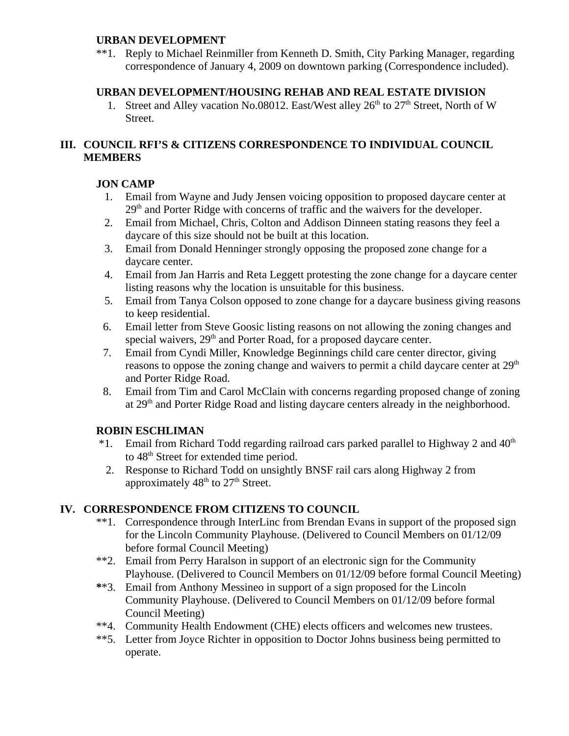### **URBAN DEVELOPMENT**

\*\*1. Reply to Michael Reinmiller from Kenneth D. Smith, City Parking Manager, regarding correspondence of January 4, 2009 on downtown parking (Correspondence included).

## **URBAN DEVELOPMENT/HOUSING REHAB AND REAL ESTATE DIVISION**

1. Street and Alley vacation No.08012. East/West alley  $26<sup>th</sup>$  to  $27<sup>th</sup>$  Street, North of W Street.

# **III. COUNCIL RFI'S & CITIZENS CORRESPONDENCE TO INDIVIDUAL COUNCIL MEMBERS**

# **JON CAMP**

- 1. Email from Wayne and Judy Jensen voicing opposition to proposed daycare center at  $29<sup>th</sup>$  and Porter Ridge with concerns of traffic and the waivers for the developer.
- 2. Email from Michael, Chris, Colton and Addison Dinneen stating reasons they feel a daycare of this size should not be built at this location.
- 3. Email from Donald Henninger strongly opposing the proposed zone change for a daycare center.
- 4. Email from Jan Harris and Reta Leggett protesting the zone change for a daycare center listing reasons why the location is unsuitable for this business.
- 5. Email from Tanya Colson opposed to zone change for a daycare business giving reasons to keep residential.
- 6. Email letter from Steve Goosic listing reasons on not allowing the zoning changes and special waivers, 29<sup>th</sup> and Porter Road, for a proposed daycare center.
- 7. Email from Cyndi Miller, Knowledge Beginnings child care center director, giving reasons to oppose the zoning change and waivers to permit a child daycare center at  $29<sup>th</sup>$ and Porter Ridge Road.
- 8. Email from Tim and Carol McClain with concerns regarding proposed change of zoning at 29<sup>th</sup> and Porter Ridge Road and listing daycare centers already in the neighborhood.

# **ROBIN ESCHLIMAN**

- $*1.$  Email from Richard Todd regarding railroad cars parked parallel to Highway 2 and  $40<sup>th</sup>$ to 48<sup>th</sup> Street for extended time period.
- 2. Response to Richard Todd on unsightly BNSF rail cars along Highway 2 from approximately  $48<sup>th</sup>$  to  $27<sup>th</sup>$  Street.

# **IV. CORRESPONDENCE FROM CITIZENS TO COUNCIL**

- \*\*1. Correspondence through InterLinc from Brendan Evans in support of the proposed sign for the Lincoln Community Playhouse. (Delivered to Council Members on 01/12/09 before formal Council Meeting)
- \*\*2. Email from Perry Haralson in support of an electronic sign for the Community Playhouse. (Delivered to Council Members on 01/12/09 before formal Council Meeting)
- **\***\*3. Email from Anthony Messineo in support of a sign proposed for the Lincoln Community Playhouse. (Delivered to Council Members on 01/12/09 before formal Council Meeting)
- \*\*4. Community Health Endowment (CHE) elects officers and welcomes new trustees.
- \*\*5. Letter from Joyce Richter in opposition to Doctor Johns business being permitted to operate.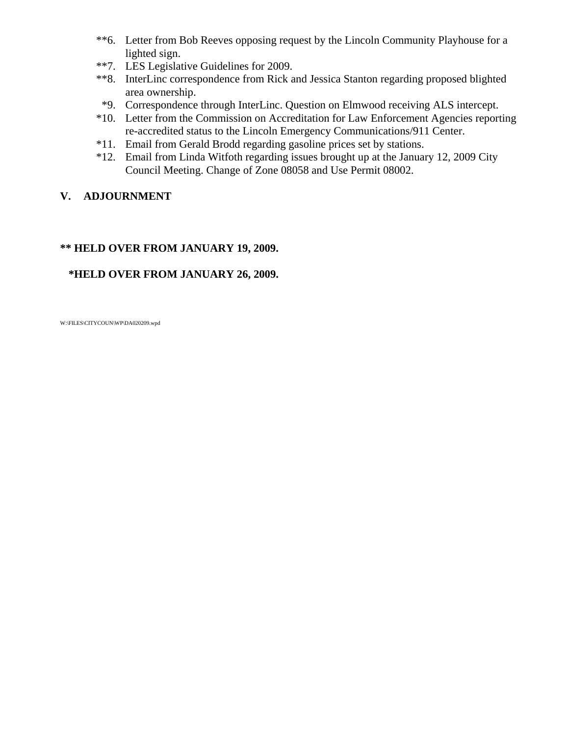- \*\*6. Letter from Bob Reeves opposing request by the Lincoln Community Playhouse for a lighted sign.
- \*\*7. LES Legislative Guidelines for 2009.
- \*\*8. InterLinc correspondence from Rick and Jessica Stanton regarding proposed blighted area ownership.
- \*9. Correspondence through InterLinc. Question on Elmwood receiving ALS intercept.
- \*10. Letter from the Commission on Accreditation for Law Enforcement Agencies reporting re-accredited status to the Lincoln Emergency Communications/911 Center.
- \*11. Email from Gerald Brodd regarding gasoline prices set by stations.
- \*12. Email from Linda Witfoth regarding issues brought up at the January 12, 2009 City Council Meeting. Change of Zone 08058 and Use Permit 08002.

# **V. ADJOURNMENT**

# **\*\* HELD OVER FROM JANUARY 19, 2009.**

# **\*HELD OVER FROM JANUARY 26, 2009.**

W:\FILES\CITYCOUN\WP\DA020209.wpd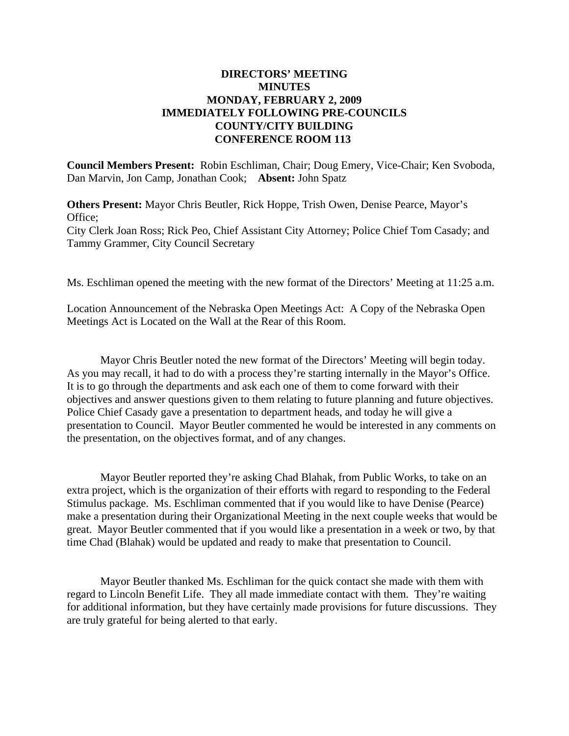### **DIRECTORS' MEETING MINUTES MONDAY, FEBRUARY 2, 2009 IMMEDIATELY FOLLOWING PRE-COUNCILS COUNTY/CITY BUILDING CONFERENCE ROOM 113**

**Council Members Present:** Robin Eschliman, Chair; Doug Emery, Vice-Chair; Ken Svoboda, Dan Marvin, Jon Camp, Jonathan Cook; **Absent:** John Spatz

**Others Present:** Mayor Chris Beutler, Rick Hoppe, Trish Owen, Denise Pearce, Mayor's Office; City Clerk Joan Ross; Rick Peo, Chief Assistant City Attorney; Police Chief Tom Casady; and Tammy Grammer, City Council Secretary

Ms. Eschliman opened the meeting with the new format of the Directors' Meeting at 11:25 a.m.

Location Announcement of the Nebraska Open Meetings Act: A Copy of the Nebraska Open Meetings Act is Located on the Wall at the Rear of this Room.

Mayor Chris Beutler noted the new format of the Directors' Meeting will begin today. As you may recall, it had to do with a process they're starting internally in the Mayor's Office. It is to go through the departments and ask each one of them to come forward with their objectives and answer questions given to them relating to future planning and future objectives. Police Chief Casady gave a presentation to department heads, and today he will give a presentation to Council. Mayor Beutler commented he would be interested in any comments on the presentation, on the objectives format, and of any changes.

Mayor Beutler reported they're asking Chad Blahak, from Public Works, to take on an extra project, which is the organization of their efforts with regard to responding to the Federal Stimulus package. Ms. Eschliman commented that if you would like to have Denise (Pearce) make a presentation during their Organizational Meeting in the next couple weeks that would be great. Mayor Beutler commented that if you would like a presentation in a week or two, by that time Chad (Blahak) would be updated and ready to make that presentation to Council.

Mayor Beutler thanked Ms. Eschliman for the quick contact she made with them with regard to Lincoln Benefit Life. They all made immediate contact with them. They're waiting for additional information, but they have certainly made provisions for future discussions. They are truly grateful for being alerted to that early.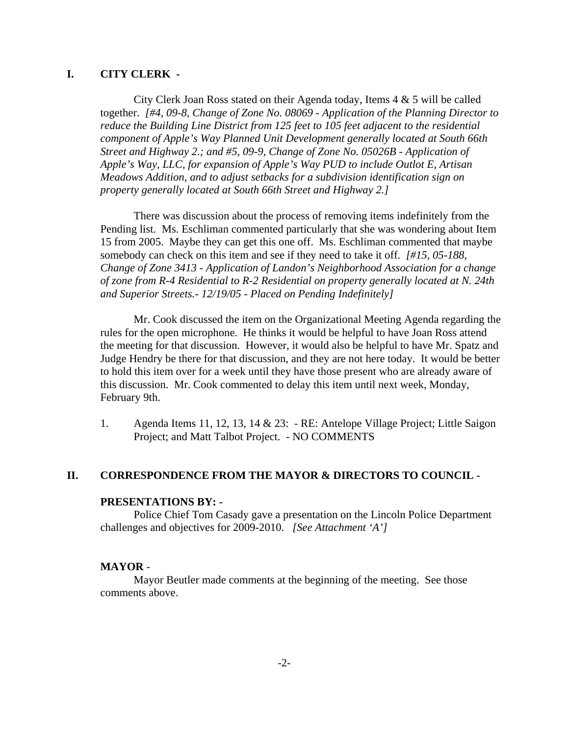### **I. CITY CLERK -**

City Clerk Joan Ross stated on their Agenda today, Items 4 & 5 will be called together. *[#4, 09-8, Change of Zone No. 08069 - Application of the Planning Director to reduce the Building Line District from 125 feet to 105 feet adjacent to the residential component of Apple's Way Planned Unit Development generally located at South 66th Street and Highway 2.; and #5, 09-9, Change of Zone No. 05026B - Application of Apple's Way, LLC, for expansion of Apple's Way PUD to include Outlot E, Artisan Meadows Addition, and to adjust setbacks for a subdivision identification sign on property generally located at South 66th Street and Highway 2.]* 

There was discussion about the process of removing items indefinitely from the Pending list. Ms. Eschliman commented particularly that she was wondering about Item 15 from 2005. Maybe they can get this one off. Ms. Eschliman commented that maybe somebody can check on this item and see if they need to take it off. *[#15, 05-188, Change of Zone 3413 - Application of Landon's Neighborhood Association for a change of zone from R-4 Residential to R-2 Residential on property generally located at N. 24th and Superior Streets.- 12/19/05 - Placed on Pending Indefinitely]*

Mr. Cook discussed the item on the Organizational Meeting Agenda regarding the rules for the open microphone. He thinks it would be helpful to have Joan Ross attend the meeting for that discussion. However, it would also be helpful to have Mr. Spatz and Judge Hendry be there for that discussion, and they are not here today. It would be better to hold this item over for a week until they have those present who are already aware of this discussion. Mr. Cook commented to delay this item until next week, Monday, February 9th.

1. Agenda Items 11, 12, 13, 14 & 23: - RE: Antelope Village Project; Little Saigon Project; and Matt Talbot Project. - NO COMMENTS

### **II. CORRESPONDENCE FROM THE MAYOR & DIRECTORS TO COUNCIL -**

#### **PRESENTATIONS BY: -**

Police Chief Tom Casady gave a presentation on the Lincoln Police Department challenges and objectives for 2009-2010. *[See Attachment 'A']* 

#### **MAYOR** -

Mayor Beutler made comments at the beginning of the meeting. See those comments above.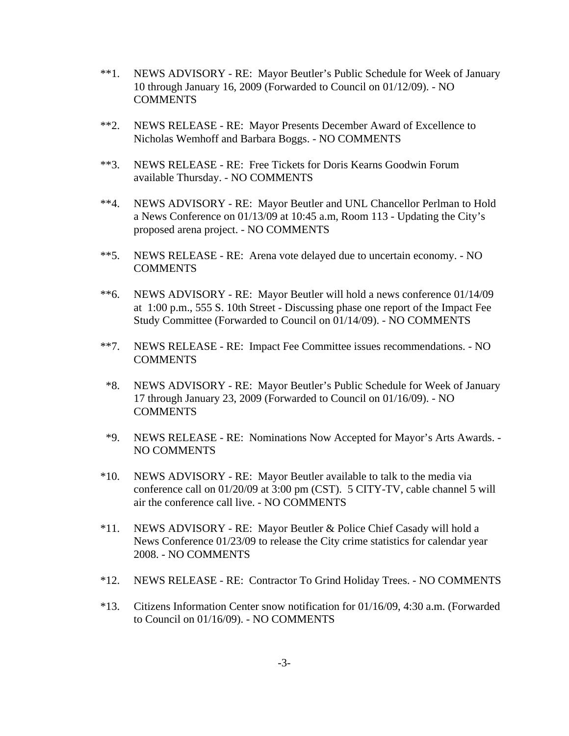- \*\*1. NEWS ADVISORY RE: Mayor Beutler's Public Schedule for Week of January 10 through January 16, 2009 (Forwarded to Council on 01/12/09). - NO COMMENTS
- \*\*2. NEWS RELEASE RE: Mayor Presents December Award of Excellence to Nicholas Wemhoff and Barbara Boggs. - NO COMMENTS
- \*\*3. NEWS RELEASE RE: Free Tickets for Doris Kearns Goodwin Forum available Thursday. - NO COMMENTS
- \*\*4. NEWS ADVISORY RE: Mayor Beutler and UNL Chancellor Perlman to Hold a News Conference on 01/13/09 at 10:45 a.m, Room 113 - Updating the City's proposed arena project. - NO COMMENTS
- \*\*5. NEWS RELEASE RE: Arena vote delayed due to uncertain economy. NO COMMENTS
- \*\*6. NEWS ADVISORY RE: Mayor Beutler will hold a news conference 01/14/09 at 1:00 p.m., 555 S. 10th Street - Discussing phase one report of the Impact Fee Study Committee (Forwarded to Council on 01/14/09). - NO COMMENTS
- \*\*7. NEWS RELEASE RE: Impact Fee Committee issues recommendations. NO COMMENTS
- \*8. NEWS ADVISORY RE: Mayor Beutler's Public Schedule for Week of January 17 through January 23, 2009 (Forwarded to Council on 01/16/09). - NO COMMENTS
- \*9. NEWS RELEASE RE: Nominations Now Accepted for Mayor's Arts Awards. NO COMMENTS
- \*10. NEWS ADVISORY RE: Mayor Beutler available to talk to the media via conference call on 01/20/09 at 3:00 pm (CST). 5 CITY-TV, cable channel 5 will air the conference call live. - NO COMMENTS
- \*11. NEWS ADVISORY RE: Mayor Beutler & Police Chief Casady will hold a News Conference 01/23/09 to release the City crime statistics for calendar year 2008. - NO COMMENTS
- \*12. NEWS RELEASE RE: Contractor To Grind Holiday Trees. NO COMMENTS
- \*13. Citizens Information Center snow notification for 01/16/09, 4:30 a.m. (Forwarded to Council on 01/16/09). - NO COMMENTS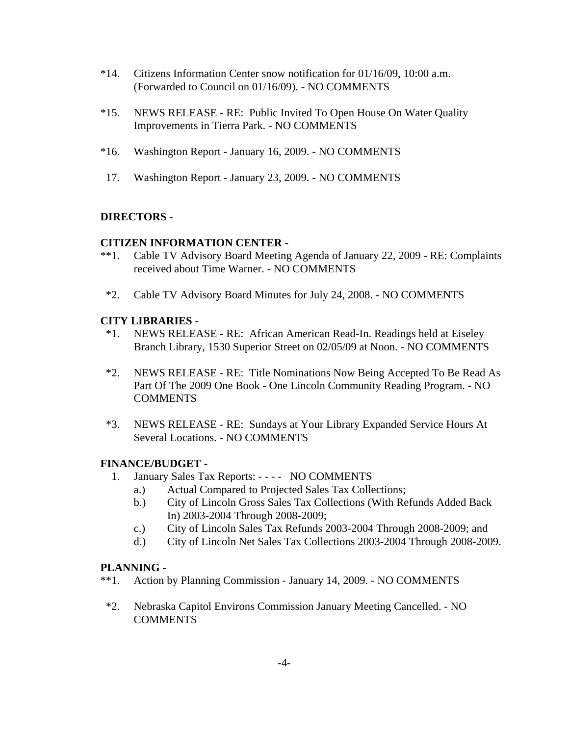- \*14. Citizens Information Center snow notification for 01/16/09, 10:00 a.m. (Forwarded to Council on 01/16/09). - NO COMMENTS
- \*15. NEWS RELEASE RE: Public Invited To Open House On Water Quality Improvements in Tierra Park. - NO COMMENTS
- \*16. Washington Report January 16, 2009. NO COMMENTS
- 17. Washington Report January 23, 2009. NO COMMENTS

### **DIRECTORS -**

#### **CITIZEN INFORMATION CENTER -**

- \*\*1. Cable TV Advisory Board Meeting Agenda of January 22, 2009 RE: Complaints received about Time Warner. - NO COMMENTS
- \*2. Cable TV Advisory Board Minutes for July 24, 2008. NO COMMENTS

#### **CITY LIBRARIES -**

- \*1. NEWS RELEASE RE: African American Read-In. Readings held at Eiseley Branch Library, 1530 Superior Street on 02/05/09 at Noon. - NO COMMENTS
- \*2. NEWS RELEASE RE: Title Nominations Now Being Accepted To Be Read As Part Of The 2009 One Book - One Lincoln Community Reading Program. - NO **COMMENTS**
- \*3. NEWS RELEASE RE: Sundays at Your Library Expanded Service Hours At Several Locations. - NO COMMENTS

### **FINANCE/BUDGET -**

- 1. January Sales Tax Reports: - - NO COMMENTS
	- a.) Actual Compared to Projected Sales Tax Collections;
	- b.) City of Lincoln Gross Sales Tax Collections (With Refunds Added Back In) 2003-2004 Through 2008-2009;
	- c.) City of Lincoln Sales Tax Refunds 2003-2004 Through 2008-2009; and
	- d.) City of Lincoln Net Sales Tax Collections 2003-2004 Through 2008-2009.

#### **PLANNING -**

- \*\*1. Action by Planning Commission January 14, 2009. NO COMMENTS
- \*2. Nebraska Capitol Environs Commission January Meeting Cancelled. NO **COMMENTS**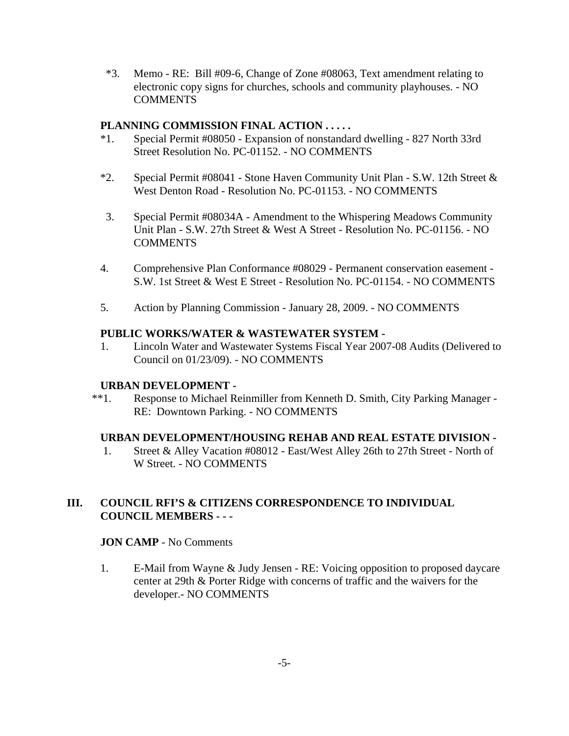\*3. Memo - RE: Bill #09-6, Change of Zone #08063, Text amendment relating to electronic copy signs for churches, schools and community playhouses. - NO **COMMENTS** 

### **PLANNING COMMISSION FINAL ACTION . . . . .**

- \*1. Special Permit #08050 Expansion of nonstandard dwelling 827 North 33rd Street Resolution No. PC-01152. - NO COMMENTS
- \*2. Special Permit #08041 Stone Haven Community Unit Plan S.W. 12th Street & West Denton Road - Resolution No. PC-01153. - NO COMMENTS
- 3. Special Permit #08034A Amendment to the Whispering Meadows Community Unit Plan - S.W. 27th Street & West A Street - Resolution No. PC-01156. - NO **COMMENTS**
- 4. Comprehensive Plan Conformance #08029 Permanent conservation easement S.W. 1st Street & West E Street - Resolution No. PC-01154. - NO COMMENTS
- 5. Action by Planning Commission January 28, 2009. NO COMMENTS

### **PUBLIC WORKS/WATER & WASTEWATER SYSTEM -**

 1. Lincoln Water and Wastewater Systems Fiscal Year 2007-08 Audits (Delivered to Council on 01/23/09). - NO COMMENTS

### **URBAN DEVELOPMENT -**

 \*\*1. Response to Michael Reinmiller from Kenneth D. Smith, City Parking Manager - RE: Downtown Parking. - NO COMMENTS

### **URBAN DEVELOPMENT/HOUSING REHAB AND REAL ESTATE DIVISION -**

 1. Street & Alley Vacation #08012 - East/West Alley 26th to 27th Street - North of W Street. - NO COMMENTS

## **III. COUNCIL RFI'S & CITIZENS CORRESPONDENCE TO INDIVIDUAL COUNCIL MEMBERS - - -**

### **JON CAMP** - No Comments

 1. E-Mail from Wayne & Judy Jensen - RE: Voicing opposition to proposed daycare center at 29th & Porter Ridge with concerns of traffic and the waivers for the developer.- NO COMMENTS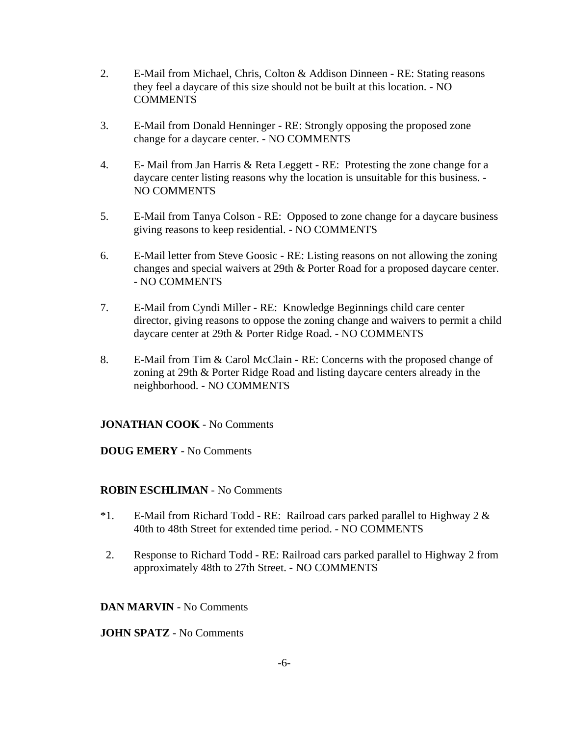- 2. E-Mail from Michael, Chris, Colton & Addison Dinneen RE: Stating reasons they feel a daycare of this size should not be built at this location. - NO COMMENTS
- 3. E-Mail from Donald Henninger RE: Strongly opposing the proposed zone change for a daycare center. - NO COMMENTS
- 4. E- Mail from Jan Harris & Reta Leggett RE: Protesting the zone change for a daycare center listing reasons why the location is unsuitable for this business. - NO COMMENTS
- 5. E-Mail from Tanya Colson RE: Opposed to zone change for a daycare business giving reasons to keep residential. - NO COMMENTS
- 6. E-Mail letter from Steve Goosic RE: Listing reasons on not allowing the zoning changes and special waivers at 29th & Porter Road for a proposed daycare center. - NO COMMENTS
- 7. E-Mail from Cyndi Miller RE: Knowledge Beginnings child care center director, giving reasons to oppose the zoning change and waivers to permit a child daycare center at 29th & Porter Ridge Road. - NO COMMENTS
- 8. E-Mail from Tim & Carol McClain RE: Concerns with the proposed change of zoning at 29th & Porter Ridge Road and listing daycare centers already in the neighborhood. - NO COMMENTS

### **JONATHAN COOK** - No Comments

### **DOUG EMERY** - No Comments

### **ROBIN ESCHLIMAN** - No Comments

- \*1. E-Mail from Richard Todd RE: Railroad cars parked parallel to Highway 2 & 40th to 48th Street for extended time period. - NO COMMENTS
- 2. Response to Richard Todd RE: Railroad cars parked parallel to Highway 2 from approximately 48th to 27th Street. - NO COMMENTS

### **DAN MARVIN** - No Comments

### **JOHN SPATZ** - No Comments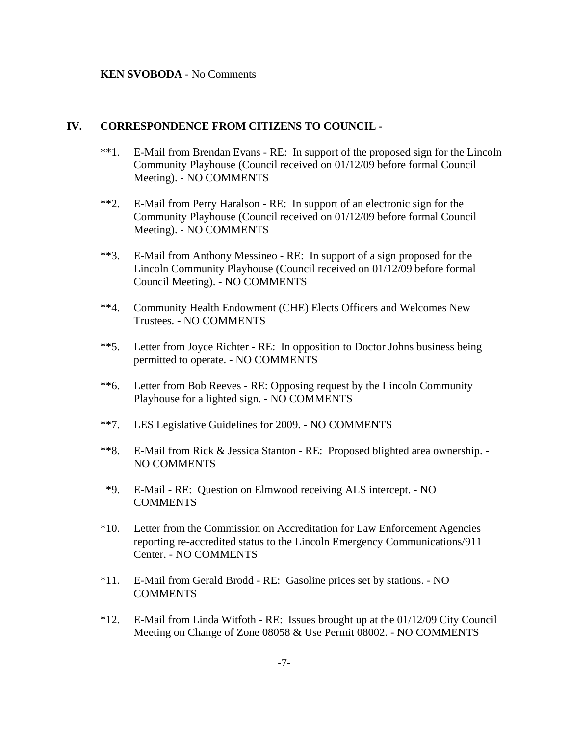#### **KEN SVOBODA** - No Comments

#### **IV. CORRESPONDENCE FROM CITIZENS TO COUNCIL -**

- \*\*1. E-Mail from Brendan Evans RE: In support of the proposed sign for the Lincoln Community Playhouse (Council received on 01/12/09 before formal Council Meeting). - NO COMMENTS
- \*\*2. E-Mail from Perry Haralson RE: In support of an electronic sign for the Community Playhouse (Council received on 01/12/09 before formal Council Meeting). - NO COMMENTS
- \*\*3. E-Mail from Anthony Messineo RE: In support of a sign proposed for the Lincoln Community Playhouse (Council received on 01/12/09 before formal Council Meeting). - NO COMMENTS
- \*\*4. Community Health Endowment (CHE) Elects Officers and Welcomes New Trustees. - NO COMMENTS
- \*\*5. Letter from Joyce Richter RE: In opposition to Doctor Johns business being permitted to operate. - NO COMMENTS
- \*\*6. Letter from Bob Reeves RE: Opposing request by the Lincoln Community Playhouse for a lighted sign. - NO COMMENTS
- \*\*7. LES Legislative Guidelines for 2009. NO COMMENTS
- \*\*8. E-Mail from Rick & Jessica Stanton RE: Proposed blighted area ownership. NO COMMENTS
- \*9. E-Mail RE: Question on Elmwood receiving ALS intercept. NO COMMENTS
- \*10. Letter from the Commission on Accreditation for Law Enforcement Agencies reporting re-accredited status to the Lincoln Emergency Communications/911 Center. - NO COMMENTS
- \*11. E-Mail from Gerald Brodd RE: Gasoline prices set by stations. NO **COMMENTS**
- \*12. E-Mail from Linda Witfoth RE: Issues brought up at the 01/12/09 City Council Meeting on Change of Zone 08058 & Use Permit 08002. - NO COMMENTS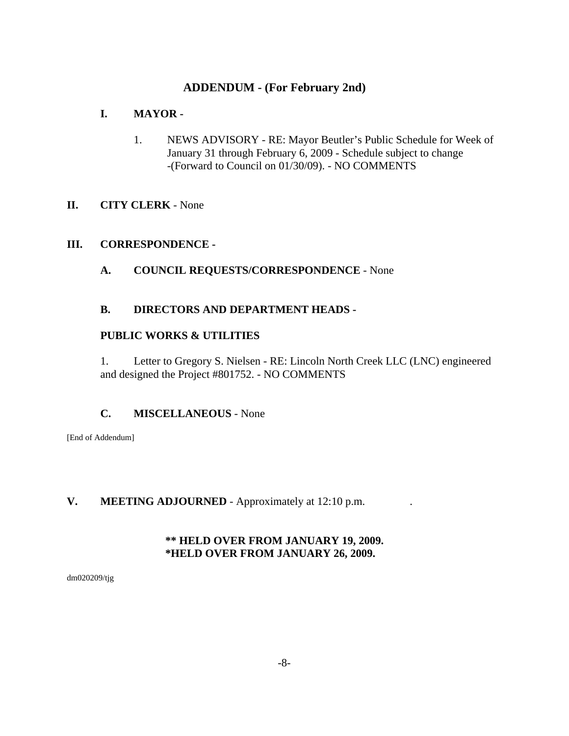# **ADDENDUM - (For February 2nd)**

# **I. MAYOR -**

1. NEWS ADVISORY - RE: Mayor Beutler's Public Schedule for Week of January 31 through February 6, 2009 - Schedule subject to change -(Forward to Council on 01/30/09). - NO COMMENTS

# **II. CITY CLERK** - None

### **III. CORRESPONDENCE -**

**A. COUNCIL REQUESTS/CORRESPONDENCE** - None

## **B. DIRECTORS AND DEPARTMENT HEADS -**

### **PUBLIC WORKS & UTILITIES**

1. Letter to Gregory S. Nielsen - RE: Lincoln North Creek LLC (LNC) engineered and designed the Project #801752. - NO COMMENTS

# **C. MISCELLANEOUS** - None

[End of Addendum]

# **V. MEETING ADJOURNED** - Approximately at 12:10 p.m. .

# **\*\* HELD OVER FROM JANUARY 19, 2009. \*HELD OVER FROM JANUARY 26, 2009.**

dm020209/tjg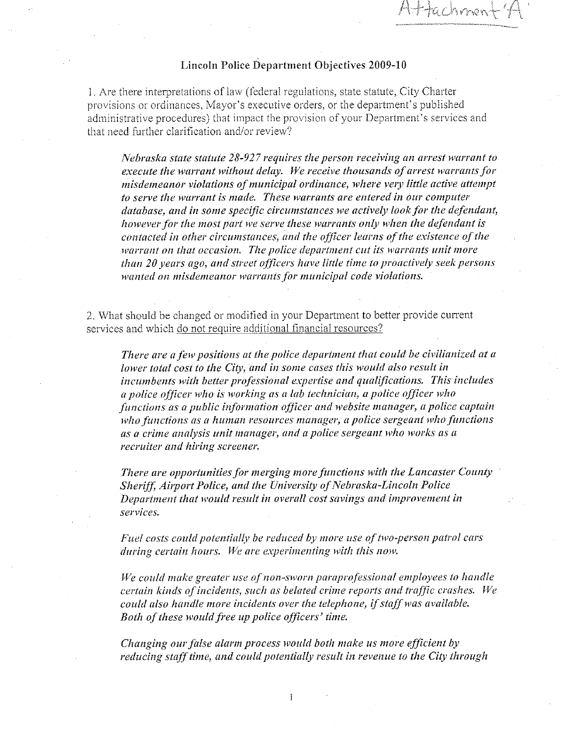achme

#### Lincoln Police Department Objectives 2009-10

1. Are there interpretations of law (federal regulations, state statute, City Charter provisions or ordinances, Mayor's executive orders, or the department's published administrative procedures) that impact the provision of your Department's services and that need further clarification and/or review?

Nebraska state statute 28-927 requires the person receiving an arrest warrant to execute the warrant without delay. We receive thousands of arrest warrants for misdemeanor violations of municipal ordinance, where very little active attempt to serve the warrant is made. These warrants are entered in our computer database, and in some specific circumstances we actively look for the defendant, however for the most part we serve these warrants only when the defendant is contacted in other circumstances, and the officer learns of the existence of the warrant on that occasion. The police department cut its warrants unit more than 20 years ago, and street officers have little time to proactively seek persons wanted on misdemeanor warrants for municipal code violations.

2. What should be changed or modified in your Department to better provide current services and which do not require additional financial resources?

There are a few positions at the police department that could be civilianized at a lower total cost to the City, and in some cases this would also result in incumbents with better professional expertise and qualifications. This includes a police officer who is working as a lab technician, a police officer who functions as a public information officer and website manager, a police captain who functions as a human resources manager, a police sergeant who functions as a crime analysis unit manager, and a police sergeant who works as a recruiter and hiring screener.

There are opportunities for merging more functions with the Lancaster County Sheriff, Airport Police, and the University of Nebraska-Lincoln Police Department that would result in overall cost savings and improvement in services.

Fuel costs could potentially be reduced by more use of two-person patrol cars during certain hours. We are experimenting with this now.

We could make greater use of non-sworn paraprofessional employees to handle certain kinds of incidents, such as belated crime reports and traffic crashes. We could also handle more incidents over the telephone, if staff was available. Both of these would free up police officers' time.

Changing our false alarm process would both make us more efficient by reducing staff time, and could potentially result in revenue to the City through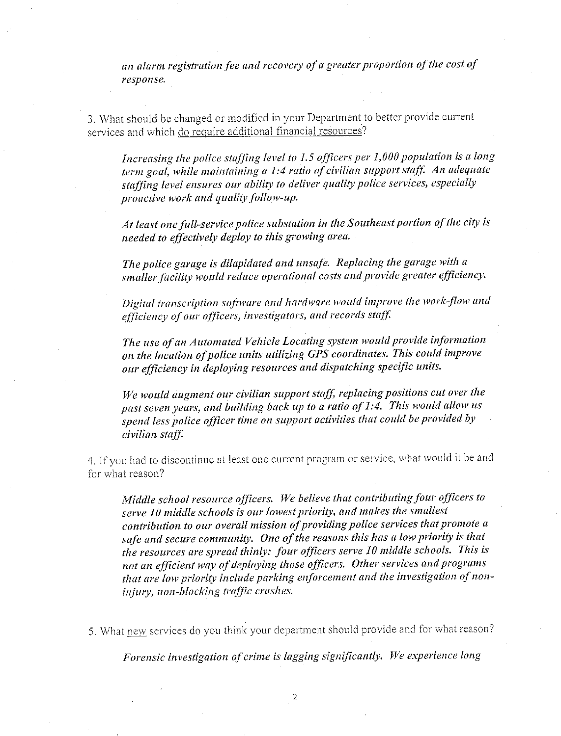an alarm registration fee and recovery of a greater proportion of the cost of response.

3. What should be changed or modified in your Department to better provide current services and which do require additional financial resources?

Increasing the police staffing level to 1.5 officers per 1,000 population is a long term goal, while maintaining a 1:4 ratio of civilian support staff. An adequate staffing level ensures our ability to deliver quality police services, especially proactive work and quality follow-up.

At least one full-service police substation in the Southeast portion of the city is needed to effectively deploy to this growing area.

The police garage is dilapidated and unsafe. Replacing the garage with a smaller facility would reduce operational costs and provide greater efficiency.

Digital transcription software and hardware would improve the work-flow and efficiency of our officers, investigators, and records staff.

The use of an Automated Vehicle Locating system would provide information on the location of police units utilizing GPS coordinates. This could improve our efficiency in deploying resources and dispatching specific units.

We would augment our civilian support staff, replacing positions cut over the past seven years, and building back up to a ratio of 1:4. This would allow us spend less police officer time on support activities that could be provided by civilian staff.

4. If you had to discontinue at least one current program or service, what would it be and for what reason?

Middle school resource officers. We believe that contributing four officers to serve 10 middle schools is our lowest priority, and makes the smallest contribution to our overall mission of providing police services that promote a safe and secure community. One of the reasons this has a low priority is that the resources are spread thinly: four officers serve 10 middle schools. This is not an efficient way of deploying those officers. Other services and programs that are low priority include parking enforcement and the investigation of noninjury, non-blocking traffic crashes.

5. What new services do you think your department should provide and for what reason?

Forensic investigation of crime is lagging significantly. We experience long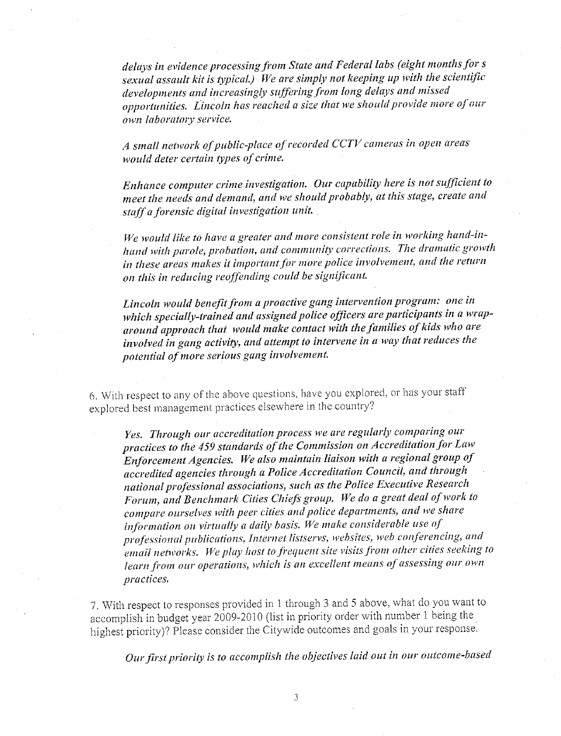delays in evidence processing from State and Federal labs (eight months for s sexual assault kit is typical.) We are simply not keeping up with the scientific developments and increasingly suffering from long delays and missed opportunities. Lincoln has reached a size that we should provide more of our own laboratory service.

A small network of public-place of recorded CCTV cameras in open areas would deter certain types of crime.

Enhance computer crime investigation. Our capability here is not sufficient to meet the needs and demand, and we should probably, at this stage, create and staff a forensic digital investigation unit.

We would like to have a greater and more consistent role in working hand-inhand with parole, probation, and community corrections. The dramatic growth in these areas makes it important for more police involvement, and the return on this in reducing reoffending could be significant.

Lincoln would benefit from a proactive gang intervention program: one in which specially-trained and assigned police officers are participants in a wraparound approach that would make contact with the families of kids who are involved in gang activity, and attempt to intervene in a way that reduces the potential of more serious gang involvement.

6. With respect to any of the above questions, have you explored, or has your staff explored best management practices elsewhere in the country?

Yes. Through our accreditation process we are regularly comparing our practices to the 459 standards of the Commission on Accreditation for Law Enforcement Agencies. We also maintain liaison with a regional group of accredited agencies through a Police Accreditation Council, and through national professional associations, such as the Police Executive Research Forum, and Benchmark Cities Chiefs group. We do a great deal of work to compare ourselves with peer cities and police departments, and we share information on virtually a daily basis. We make considerable use of professional publications, Internet listservs, websites, web conferencing, and email networks. We play host to frequent site visits from other cities seeking to learn from our operations, which is an excellent means of assessing our own practices.

7. With respect to responses provided in 1 through 3 and 5 above, what do you want to accomplish in budget year 2009-2010 (list in priority order with number 1 being the highest priority)? Please consider the Citywide outcomes and goals in your response.

Our first priority is to accomplish the objectives laid out in our outcome-based